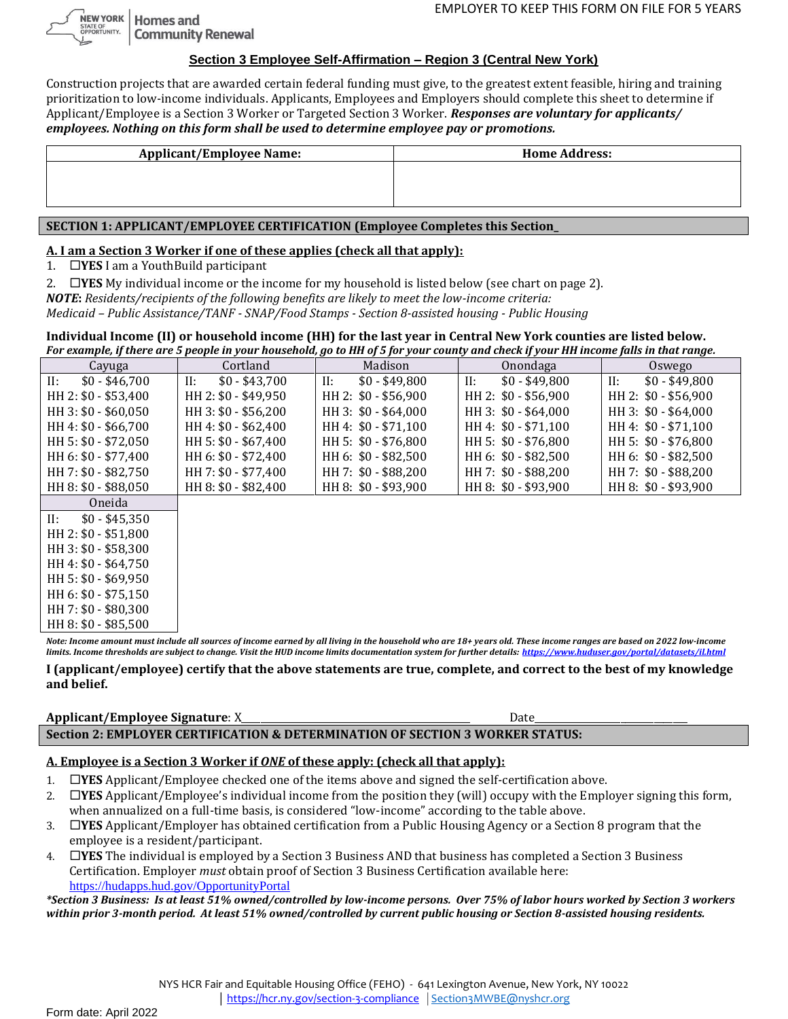NEW YORK | Homes and STATE OF<br>OPPORTUNITY. **Community Renewal** 

### **Section 3 Employee Self-Affirmation – Region 3 (Central New York)**

Construction projects that are awarded certain federal funding must give, to the greatest extent feasible, hiring and training prioritization to low-income individuals. Applicants, Employees and Employers should complete this sheet to determine if Applicant/Employee is a Section 3 Worker or Targeted Section 3 Worker. *Responses are voluntary for applicants/ employees. Nothing on this form shall be used to determine employee pay or promotions.*

| <b>Applicant/Employee Name:</b> | <b>Home Address:</b> |
|---------------------------------|----------------------|
|                                 |                      |
|                                 |                      |
|                                 |                      |
|                                 |                      |

# **SECTION 1: APPLICANT/EMPLOYEE CERTIFICATION (Employee Completes this Section\_**

### **A. I am a Section 3 Worker if one of these applies (check all that apply):**

1. **YES** I am a YouthBuild participant

2. **IYES** My individual income or the income for my household is listed below (see chart on page 2).

*NOTE***:** *Residents/recipients of the following benefits are likely to meet the low-income criteria: Medicaid – Public Assistance/TANF - SNAP/Food Stamps - Section 8-assisted housing - Public Housing*

**Individual Income (II) or household income (HH) for the last year in Central New York counties are listed below.**  *For example, if there are 5 people in your household, go to HH of 5 for your county and check if your HH income falls in that range.* 

| For example, if there are 5 people in your nousehold, go to HH of 5 for your county and check if your HH income fails in that range. |                           |                       |                       |                       |
|--------------------------------------------------------------------------------------------------------------------------------------|---------------------------|-----------------------|-----------------------|-----------------------|
| Cayuga                                                                                                                               | Cortland                  | Madison               | Onondaga              | Oswego                |
| II:<br>$$0 - $46.700$                                                                                                                | $$0 - $43,700$<br>$\Pi$ : | $$0 - $49,800$<br>II: | $$0 - $49,800$<br>II: | $$0 - $49,800$<br>II: |
| HH 2: \$0 - \$53,400                                                                                                                 | HH 2: \$0 - \$49,950      | HH 2: \$0 - \$56,900  | HH 2: \$0 - \$56,900  | HH 2: \$0 - \$56,900  |
| HH 3: \$0 - \$60,050                                                                                                                 | HH 3: \$0 - \$56,200      | HH 3: \$0 - \$64,000  | HH 3: \$0 - \$64,000  | HH 3: \$0 - \$64,000  |
| HH 4: \$0 - \$66,700                                                                                                                 | HH 4: \$0 - \$62,400      | HH 4: \$0 - \$71,100  | HH 4: \$0 - \$71,100  | HH 4: \$0 - \$71,100  |
| HH 5: \$0 - \$72,050                                                                                                                 | HH 5: \$0 - \$67,400      | HH 5: \$0 - \$76,800  | HH 5: \$0 - \$76,800  | HH 5: \$0 - \$76,800  |
| HH 6: \$0 - \$77,400                                                                                                                 | HH 6: \$0 - \$72,400      | HH 6: \$0 - \$82,500  | HH 6: \$0 - \$82,500  | HH 6: \$0 - \$82,500  |
| HH 7: \$0 - \$82,750                                                                                                                 | HH 7: \$0 - \$77,400      | HH 7: \$0 - \$88,200  | HH 7: \$0 - \$88,200  | HH 7: \$0 - \$88,200  |
| HH 8: \$0 - \$88,050                                                                                                                 | HH 8: \$0 - \$82,400      | HH 8: \$0 - \$93,900  | HH 8: \$0 - \$93,900  | HH 8: $$0 - $93,900$  |
| Oneida                                                                                                                               |                           |                       |                       |                       |
| $$0 - $45,350$<br>II:                                                                                                                |                           |                       |                       |                       |

| II: | \$0 - \$45.350       |
|-----|----------------------|
|     | HH 2: \$0 - \$51,800 |
|     | HH 3: \$0 - \$58,300 |
|     | HH 4: \$0 - \$64,750 |
|     | HH 5: \$0 - \$69,950 |
|     | HH 6: \$0 - \$75,150 |
|     | HH 7: \$0 - \$80,300 |
|     | HH 8: \$0 - \$85,500 |

*Note: Income amount must include all sources of income earned by all living in the household who are 18+ years old. These income ranges are based on 2022 low-income limits. Income thresholds are subject to change. Visit the HUD income limits documentation system for further details: <https://www.huduser.gov/portal/datasets/il.html>*

**I (applicant/employee) certify that the above statements are true, complete, and correct to the best of my knowledge and belief.** 

#### **Applicant/Employee Signature**: X\_\_\_\_\_\_\_\_\_\_\_\_\_\_\_\_\_\_\_\_\_\_\_\_\_\_\_\_\_\_\_\_\_\_\_\_\_\_\_\_\_\_\_\_\_\_\_\_ Date\_\_\_\_\_\_\_\_\_\_\_\_\_\_\_\_\_\_\_\_\_\_\_\_\_\_\_\_\_\_\_\_ **Section 2: EMPLOYER CERTIFICATION & DETERMINATION OF SECTION 3 WORKER STATUS:**

# **A. Employee is a Section 3 Worker if** *ONE* **of these apply: (check all that apply):**

- 1. **YES** Applicant/Employee checked one of the items above and signed the self-certification above.
- 2. **YES** Applicant/Employee's individual income from the position they (will) occupy with the Employer signing this form, when annualized on a full-time basis, is considered "low-income" according to the table above.
- 3. **YES** Applicant/Employer has obtained certification from a Public Housing Agency or a Section 8 program that the employee is a resident/participant.
- 4. **YES** The individual is employed by a Section 3 Business AND that business has completed a Section 3 Business Certification. Employer *must* obtain proof of Section 3 Business Certification available here: [https://hudapps.hud.gov/OpportunityPortal](https://hudapps.hud.gov/OpportunityPortal/)

*\*Section 3 Business: Is at least 51% owned/controlled by low-income persons. Over 75% of labor hours worked by Section 3 workers within prior 3-month period. At least 51% owned/controlled by current public housing or Section 8-assisted housing residents.*